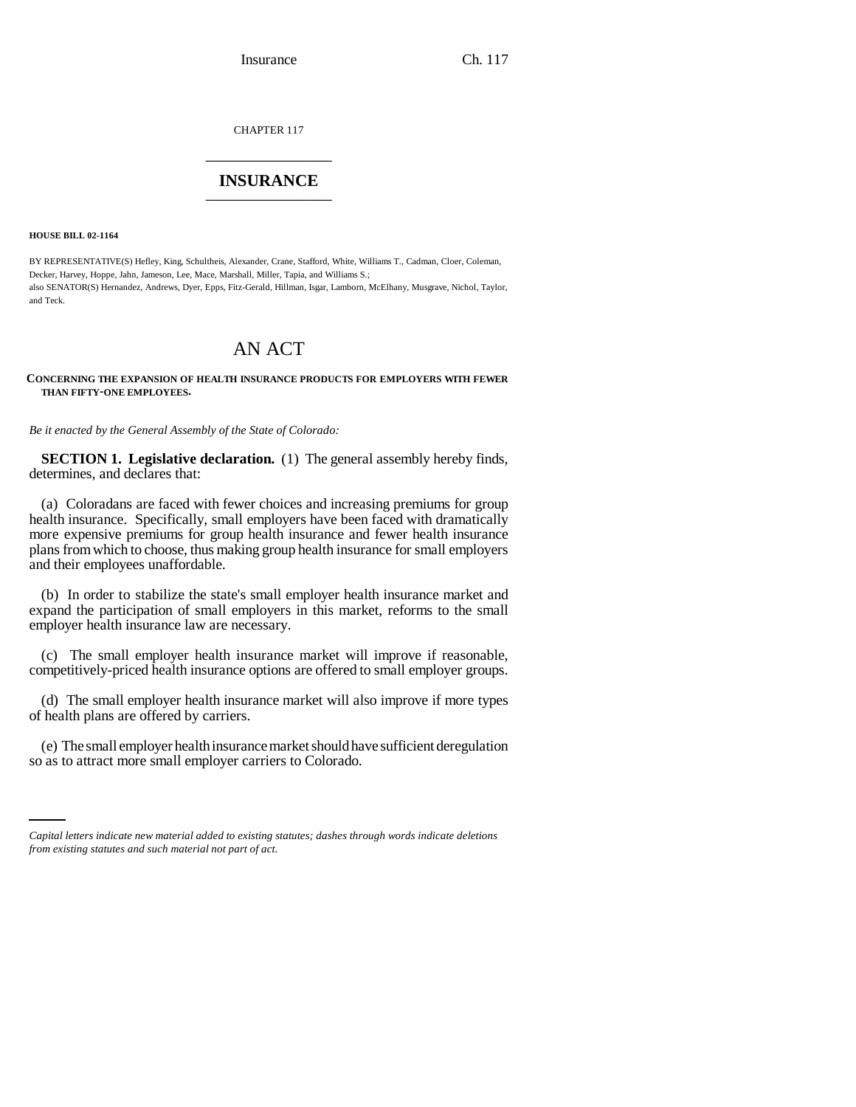Insurance Ch. 117

CHAPTER 117 \_\_\_\_\_\_\_\_\_\_\_\_\_\_\_

## **INSURANCE** \_\_\_\_\_\_\_\_\_\_\_\_\_\_\_

**HOUSE BILL 02-1164**

BY REPRESENTATIVE(S) Hefley, King, Schultheis, Alexander, Crane, Stafford, White, Williams T., Cadman, Cloer, Coleman, Decker, Harvey, Hoppe, Jahn, Jameson, Lee, Mace, Marshall, Miller, Tapia, and Williams S.; also SENATOR(S) Hernandez, Andrews, Dyer, Epps, Fitz-Gerald, Hillman, Isgar, Lamborn, McElhany, Musgrave, Nichol, Taylor, and Teck.

# AN ACT

#### **CONCERNING THE EXPANSION OF HEALTH INSURANCE PRODUCTS FOR EMPLOYERS WITH FEWER THAN FIFTY-ONE EMPLOYEES.**

*Be it enacted by the General Assembly of the State of Colorado:*

**SECTION 1. Legislative declaration.** (1) The general assembly hereby finds, determines, and declares that:

(a) Coloradans are faced with fewer choices and increasing premiums for group health insurance. Specifically, small employers have been faced with dramatically more expensive premiums for group health insurance and fewer health insurance plans from which to choose, thus making group health insurance for small employers and their employees unaffordable.

(b) In order to stabilize the state's small employer health insurance market and expand the participation of small employers in this market, reforms to the small employer health insurance law are necessary.

(c) The small employer health insurance market will improve if reasonable, competitively-priced health insurance options are offered to small employer groups.

(d) The small employer health insurance market will also improve if more types of health plans are offered by carriers.

(e) The small employer health insurance market should have sufficient deregulation so as to attract more small employer carriers to Colorado.

*Capital letters indicate new material added to existing statutes; dashes through words indicate deletions from existing statutes and such material not part of act.*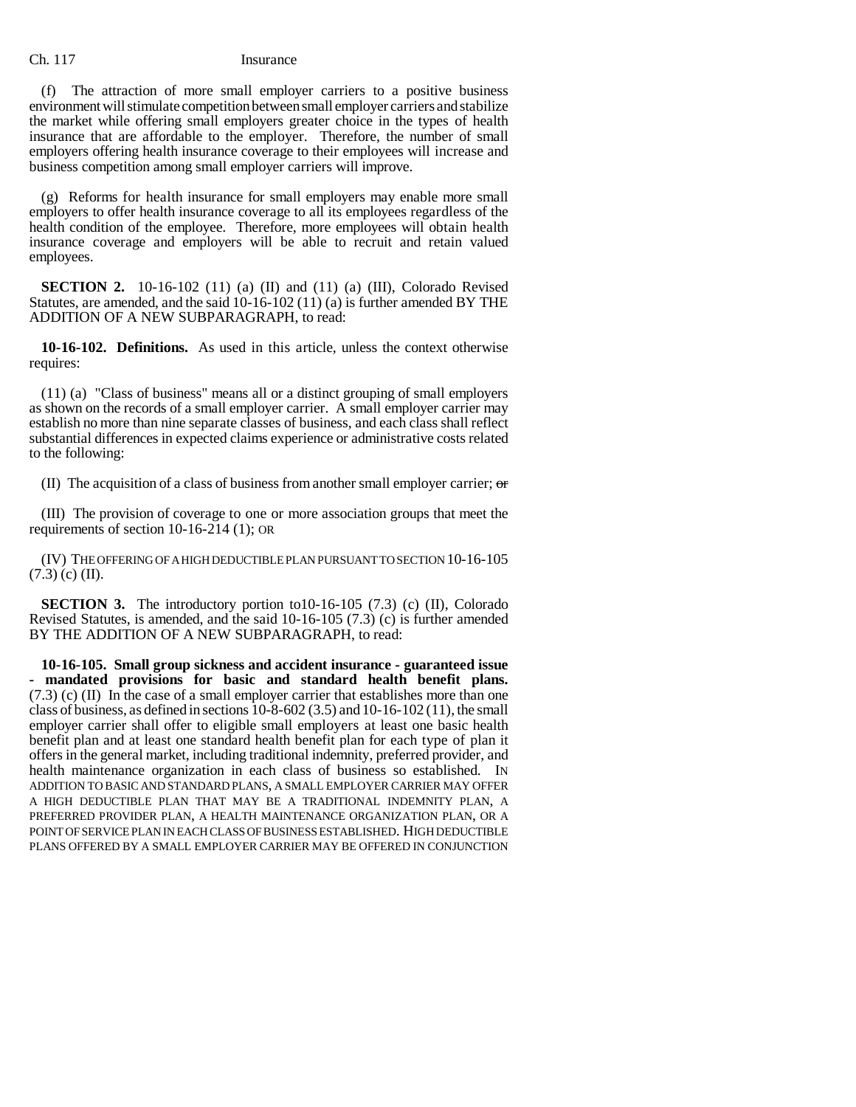### Ch. 117 Insurance

(f) The attraction of more small employer carriers to a positive business environment will stimulate competition between small employer carriers and stabilize the market while offering small employers greater choice in the types of health insurance that are affordable to the employer. Therefore, the number of small employers offering health insurance coverage to their employees will increase and business competition among small employer carriers will improve.

(g) Reforms for health insurance for small employers may enable more small employers to offer health insurance coverage to all its employees regardless of the health condition of the employee. Therefore, more employees will obtain health insurance coverage and employers will be able to recruit and retain valued employees.

**SECTION 2.** 10-16-102 (11) (a) (II) and (11) (a) (III), Colorado Revised Statutes, are amended, and the said 10-16-102 (11) (a) is further amended BY THE ADDITION OF A NEW SUBPARAGRAPH, to read:

**10-16-102. Definitions.** As used in this article, unless the context otherwise requires:

(11) (a) "Class of business" means all or a distinct grouping of small employers as shown on the records of a small employer carrier. A small employer carrier may establish no more than nine separate classes of business, and each class shall reflect substantial differences in expected claims experience or administrative costs related to the following:

(II) The acquisition of a class of business from another small employer carrier;  $\sigma$ 

(III) The provision of coverage to one or more association groups that meet the requirements of section 10-16-214 (1); OR

(IV) THE OFFERING OF A HIGH DEDUCTIBLE PLAN PURSUANT TO SECTION 10-16-105  $(7.3)$  (c) (II).

**SECTION 3.** The introductory portion to10-16-105 (7.3) (c) (II), Colorado Revised Statutes, is amended, and the said 10-16-105 (7.3) (c) is further amended BY THE ADDITION OF A NEW SUBPARAGRAPH, to read:

**10-16-105. Small group sickness and accident insurance - guaranteed issue - mandated provisions for basic and standard health benefit plans.** (7.3) (c) (II) In the case of a small employer carrier that establishes more than one class of business, as defined in sections  $10-8-602(3.5)$  and  $10-16-102(11)$ , the small employer carrier shall offer to eligible small employers at least one basic health benefit plan and at least one standard health benefit plan for each type of plan it offers in the general market, including traditional indemnity, preferred provider, and health maintenance organization in each class of business so established. IN ADDITION TO BASIC AND STANDARD PLANS, A SMALL EMPLOYER CARRIER MAY OFFER A HIGH DEDUCTIBLE PLAN THAT MAY BE A TRADITIONAL INDEMNITY PLAN, A PREFERRED PROVIDER PLAN, A HEALTH MAINTENANCE ORGANIZATION PLAN, OR A POINT OF SERVICE PLAN IN EACH CLASS OF BUSINESS ESTABLISHED. HIGH DEDUCTIBLE PLANS OFFERED BY A SMALL EMPLOYER CARRIER MAY BE OFFERED IN CONJUNCTION